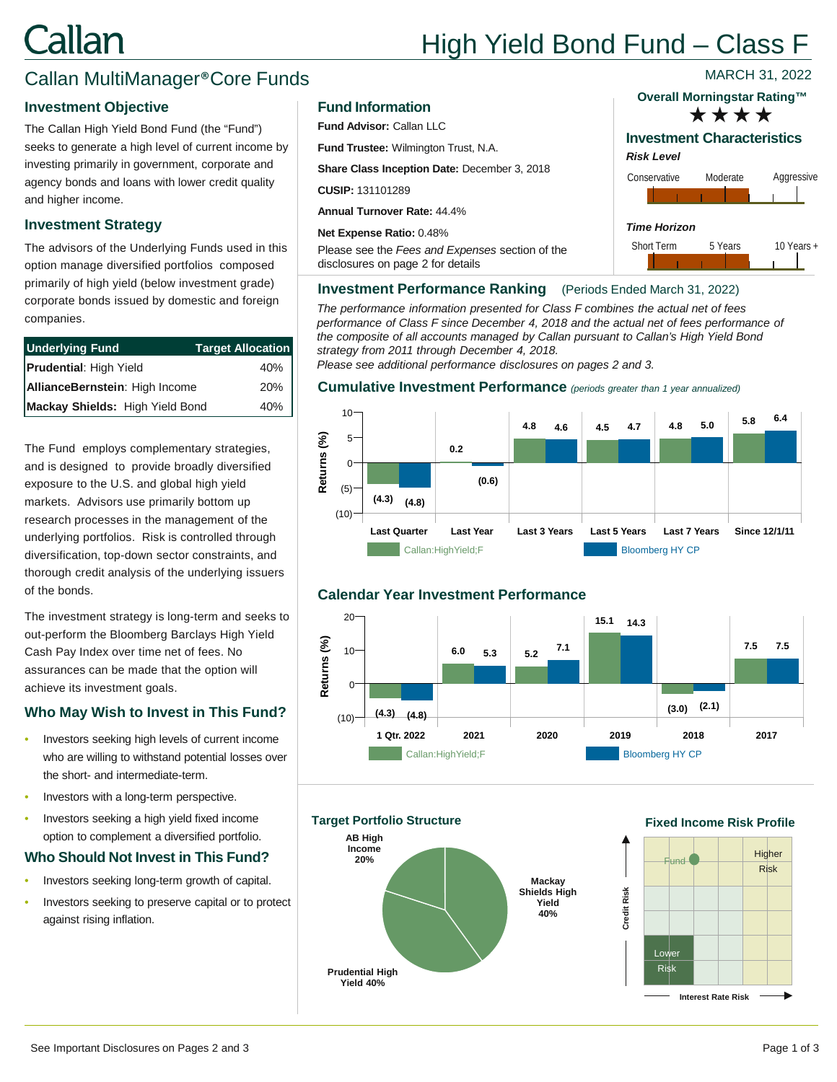## Callan

## High Yield Bond Fund – Class F

### Callan MultiManager®Core Funds

#### **Investment Objective**

The Callan High Yield Bond Fund (the "Fund") seeks to generate a high level of current income by investing primarily in government, corporate and agency bonds and loans with lower credit quality and higher income.

#### **Investment Strategy**

The advisors of the Underlying Funds used in this option manage diversified portfolios composed primarily of high yield (below investment grade) corporate bonds issued by domestic and foreign companies.

| <b>Underlying Fund</b>          | <b>Target Allocation</b> |
|---------------------------------|--------------------------|
| <b>Prudential: High Yield</b>   | 40%                      |
| AllianceBernstein: High Income  | 20%                      |
| Mackay Shields: High Yield Bond | 40%                      |

The Fund employs complementary strategies, and is designed to provide broadly diversified exposure to the U.S. and global high yield markets. Advisors use primarily bottom up research processes in the management of the underlying portfolios. Risk is controlled through diversification, top-down sector constraints, and thorough credit analysis of the underlying issuers of the bonds.

The investment strategy is long-term and seeks to out-perform the Bloomberg Barclays High Yield Cash Pay Index over time net of fees. No assurances can be made that the option will achieve its investment goals.

#### **Who May Wish to Invest in This Fund?**

- Investors seeking high levels of current income who are willing to withstand potential losses over the short- and intermediate-term.
- Investors with a long-term perspective.
- Investors seeking a high yield fixed income option to complement a diversified portfolio.

#### **Who Should Not Invest in This Fund?**

- Investors seeking long-term growth of capital.
- Investors seeking to preserve capital or to protect against rising inflation.

#### **Fund Information**

**Fund Advisor:** Callan LLC

**Fund Trustee:** Wilmington Trust, N.A.

**Share Class Inception Date:** December 3, 2018

**CUSIP:** 131101289

**Annual Turnover Rate:** 44.4%

**Net Expense Ratio:** 0.48%

Please see the *Fees and Expenses* section of the disclosures on page 2 for details

## **Overall Morningstar Rating™**

MARCH 31, 2022



#### **Investment Performance Ranking** (Periods Ended March 31, 2022)

*The performance information presented for Class F combines the actual net of fees performance of Class F since December 4, 2018 and the actual net of fees performance of the composite of all accounts managed by Callan pursuant to Callan's High Yield Bond strategy from 2011 through December 4, 2018.* 

*Please see additional performance disclosures on pages 2 and 3.*

#### **Cumulative Investment Performance** *(periods greater than 1 year annualized)*



#### **Calendar Year Investment Performance**



**Target Portfolio Structure**



#### **Fixed Income Risk Profile**



**Credit Risk**

Credit Risk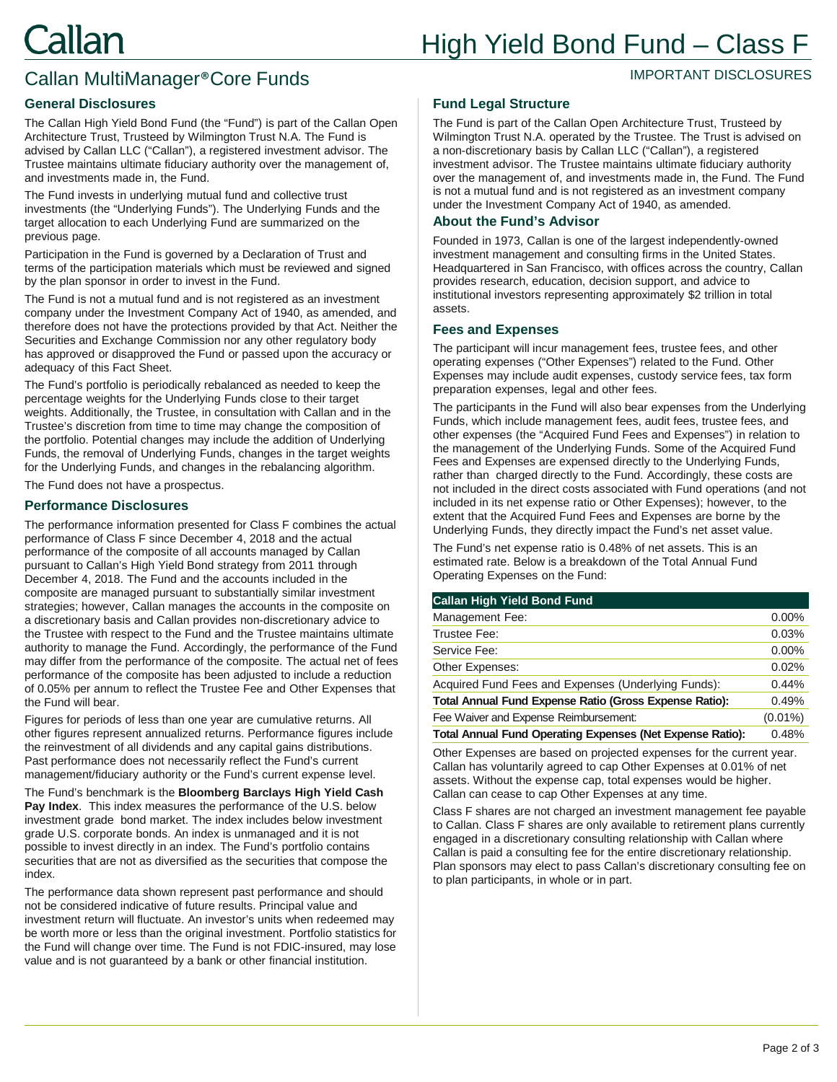#### IMPORTANT DISCLOSURES

## Callan MultiManager®Core Funds

#### **General Disclosures**

The Callan High Yield Bond Fund (the "Fund") is part of the Callan Open Architecture Trust, Trusteed by Wilmington Trust N.A. The Fund is advised by Callan LLC ("Callan"), a registered investment advisor. The Trustee maintains ultimate fiduciary authority over the management of, and investments made in, the Fund.

The Fund invests in underlying mutual fund and collective trust investments (the "Underlying Funds"). The Underlying Funds and the target allocation to each Underlying Fund are summarized on the previous page.

Participation in the Fund is governed by a Declaration of Trust and terms of the participation materials which must be reviewed and signed by the plan sponsor in order to invest in the Fund.

The Fund is not a mutual fund and is not registered as an investment company under the Investment Company Act of 1940, as amended, and therefore does not have the protections provided by that Act. Neither the Securities and Exchange Commission nor any other regulatory body has approved or disapproved the Fund or passed upon the accuracy or adequacy of this Fact Sheet.

The Fund's portfolio is periodically rebalanced as needed to keep the percentage weights for the Underlying Funds close to their target weights. Additionally, the Trustee, in consultation with Callan and in the Trustee's discretion from time to time may change the composition of the portfolio. Potential changes may include the addition of Underlying Funds, the removal of Underlying Funds, changes in the target weights for the Underlying Funds, and changes in the rebalancing algorithm.

The Fund does not have a prospectus.

#### **Performance Disclosures**

The performance information presented for Class F combines the actual performance of Class F since December 4, 2018 and the actual performance of the composite of all accounts managed by Callan pursuant to Callan's High Yield Bond strategy from 2011 through December 4, 2018. The Fund and the accounts included in the composite are managed pursuant to substantially similar investment strategies; however, Callan manages the accounts in the composite on a discretionary basis and Callan provides non-discretionary advice to the Trustee with respect to the Fund and the Trustee maintains ultimate authority to manage the Fund. Accordingly, the performance of the Fund may differ from the performance of the composite. The actual net of fees performance of the composite has been adjusted to include a reduction of 0.05% per annum to reflect the Trustee Fee and Other Expenses that the Fund will bear.

Figures for periods of less than one year are cumulative returns. All other figures represent annualized returns. Performance figures include the reinvestment of all dividends and any capital gains distributions. Past performance does not necessarily reflect the Fund's current management/fiduciary authority or the Fund's current expense level.

The Fund's benchmark is the **Bloomberg Barclays High Yield Cash Pay Index**. This index measures the performance of the U.S. below investment grade bond market. The index includes below investment grade U.S. corporate bonds. An index is unmanaged and it is not possible to invest directly in an index. The Fund's portfolio contains securities that are not as diversified as the securities that compose the index.

The performance data shown represent past performance and should not be considered indicative of future results. Principal value and investment return will fluctuate. An investor's units when redeemed may be worth more or less than the original investment. Portfolio statistics for the Fund will change over time. The Fund is not FDIC-insured, may lose value and is not guaranteed by a bank or other financial institution.

#### **Fund Legal Structure**

The Fund is part of the Callan Open Architecture Trust, Trusteed by Wilmington Trust N.A. operated by the Trustee. The Trust is advised on a non-discretionary basis by Callan LLC ("Callan"), a registered investment advisor. The Trustee maintains ultimate fiduciary authority over the management of, and investments made in, the Fund. The Fund is not a mutual fund and is not registered as an investment company under the Investment Company Act of 1940, as amended.

#### **About the Fund's Advisor**

Founded in 1973, Callan is one of the largest independently-owned investment management and consulting firms in the United States. Headquartered in San Francisco, with offices across the country, Callan provides research, education, decision support, and advice to institutional investors representing approximately \$2 trillion in total assets.

#### **Fees and Expenses**

The participant will incur management fees, trustee fees, and other operating expenses ("Other Expenses") related to the Fund. Other Expenses may include audit expenses, custody service fees, tax form preparation expenses, legal and other fees.

The participants in the Fund will also bear expenses from the Underlying Funds, which include management fees, audit fees, trustee fees, and other expenses (the "Acquired Fund Fees and Expenses") in relation to the management of the Underlying Funds. Some of the Acquired Fund Fees and Expenses are expensed directly to the Underlying Funds, rather than charged directly to the Fund. Accordingly, these costs are not included in the direct costs associated with Fund operations (and not included in its net expense ratio or Other Expenses); however, to the extent that the Acquired Fund Fees and Expenses are borne by the Underlying Funds, they directly impact the Fund's net asset value.

The Fund's net expense ratio is 0.48% of net assets. This is an estimated rate. Below is a breakdown of the Total Annual Fund Operating Expenses on the Fund:

| <b>Callan High Yield Bond Fund</b>                               |            |
|------------------------------------------------------------------|------------|
| Management Fee:                                                  | $0.00\%$   |
| Trustee Fee:                                                     | 0.03%      |
| Service Fee:                                                     | 0.00%      |
| Other Expenses:                                                  | 0.02%      |
| Acquired Fund Fees and Expenses (Underlying Funds):              | 0.44%      |
| Total Annual Fund Expense Ratio (Gross Expense Ratio):           | 0.49%      |
| Fee Waiver and Expense Reimbursement:                            | $(0.01\%)$ |
| <b>Total Annual Fund Operating Expenses (Net Expense Ratio):</b> | 0.48%      |

Other Expenses are based on projected expenses for the current year. Callan has voluntarily agreed to cap Other Expenses at 0.01% of net assets. Without the expense cap, total expenses would be higher. Callan can cease to cap Other Expenses at any time.

Class F shares are not charged an investment management fee payable to Callan. Class F shares are only available to retirement plans currently engaged in a discretionary consulting relationship with Callan where Callan is paid a consulting fee for the entire discretionary relationship. Plan sponsors may elect to pass Callan's discretionary consulting fee on to plan participants, in whole or in part.